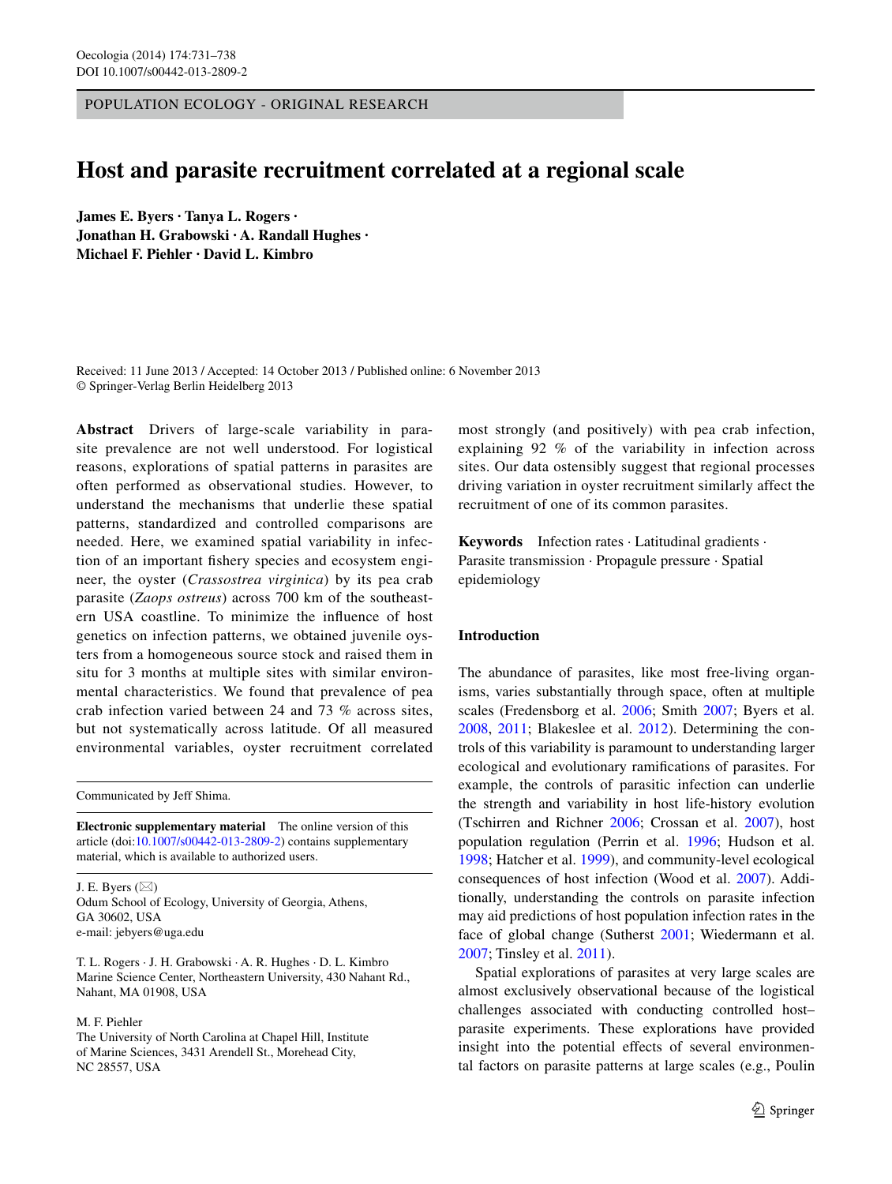Population ecology - Original research

# **Host and parasite recruitment correlated at a regional scale**

**James E. Byers · Tanya L. Rogers · Jonathan H. Grabowski · A. Randall Hughes · Michael F. Piehler · David L. Kimbro**

Received: 11 June 2013 / Accepted: 14 October 2013 / Published online: 6 November 2013 © Springer-Verlag Berlin Heidelberg 2013

**Abstract** Drivers of large-scale variability in parasite prevalence are not well understood. For logistical reasons, explorations of spatial patterns in parasites are often performed as observational studies. However, to understand the mechanisms that underlie these spatial patterns, standardized and controlled comparisons are needed. Here, we examined spatial variability in infection of an important fishery species and ecosystem engineer, the oyster (*Crassostrea virginica*) by its pea crab parasite (*Zaops ostreus*) across 700 km of the southeastern USA coastline. To minimize the influence of host genetics on infection patterns, we obtained juvenile oysters from a homogeneous source stock and raised them in situ for 3 months at multiple sites with similar environmental characteristics. We found that prevalence of pea crab infection varied between 24 and 73 % across sites, but not systematically across latitude. Of all measured environmental variables, oyster recruitment correlated

Communicated by Jeff Shima.

**Electronic supplementary material** The online version of this article (doi[:10.1007/s00442-013-2809-2](http://dx.doi.org/10.1007/s00442-013-2809-2)) contains supplementary material, which is available to authorized users.

J. E. Byers  $(\boxtimes)$ Odum School of Ecology, University of Georgia, Athens, GA 30602, USA e-mail: jebyers@uga.edu

T. L. Rogers · J. H. Grabowski · A. R. Hughes · D. L. Kimbro Marine Science Center, Northeastern University, 430 Nahant Rd., Nahant, MA 01908, USA

### M. F. Piehler

The University of North Carolina at Chapel Hill, Institute of Marine Sciences, 3431 Arendell St., Morehead City, NC 28557, USA

most strongly (and positively) with pea crab infection, explaining 92 % of the variability in infection across sites. Our data ostensibly suggest that regional processes driving variation in oyster recruitment similarly affect the recruitment of one of its common parasites.

**Keywords** Infection rates · Latitudinal gradients · Parasite transmission · Propagule pressure · Spatial epidemiology

#### **Introduction**

The abundance of parasites, like most free-living organisms, varies substantially through space, often at multiple scales (Fredensborg et al. [2006](#page-6-0); Smith [2007;](#page-7-0) Byers et al. [2008](#page-6-1), [2011](#page-6-2); Blakeslee et al. [2012](#page-6-3)). Determining the controls of this variability is paramount to understanding larger ecological and evolutionary ramifications of parasites. For example, the controls of parasitic infection can underlie the strength and variability in host life-history evolution (Tschirren and Richner [2006](#page-7-1); Crossan et al. [2007](#page-6-4)), host population regulation (Perrin et al. [1996;](#page-7-2) Hudson et al. [1998](#page-6-5); Hatcher et al. [1999](#page-6-6)), and community-level ecological consequences of host infection (Wood et al. [2007\)](#page-7-3). Additionally, understanding the controls on parasite infection may aid predictions of host population infection rates in the face of global change (Sutherst [2001](#page-7-4); Wiedermann et al. [2007](#page-7-5); Tinsley et al. [2011](#page-7-6)).

Spatial explorations of parasites at very large scales are almost exclusively observational because of the logistical challenges associated with conducting controlled host– parasite experiments. These explorations have provided insight into the potential effects of several environmental factors on parasite patterns at large scales (e.g., Poulin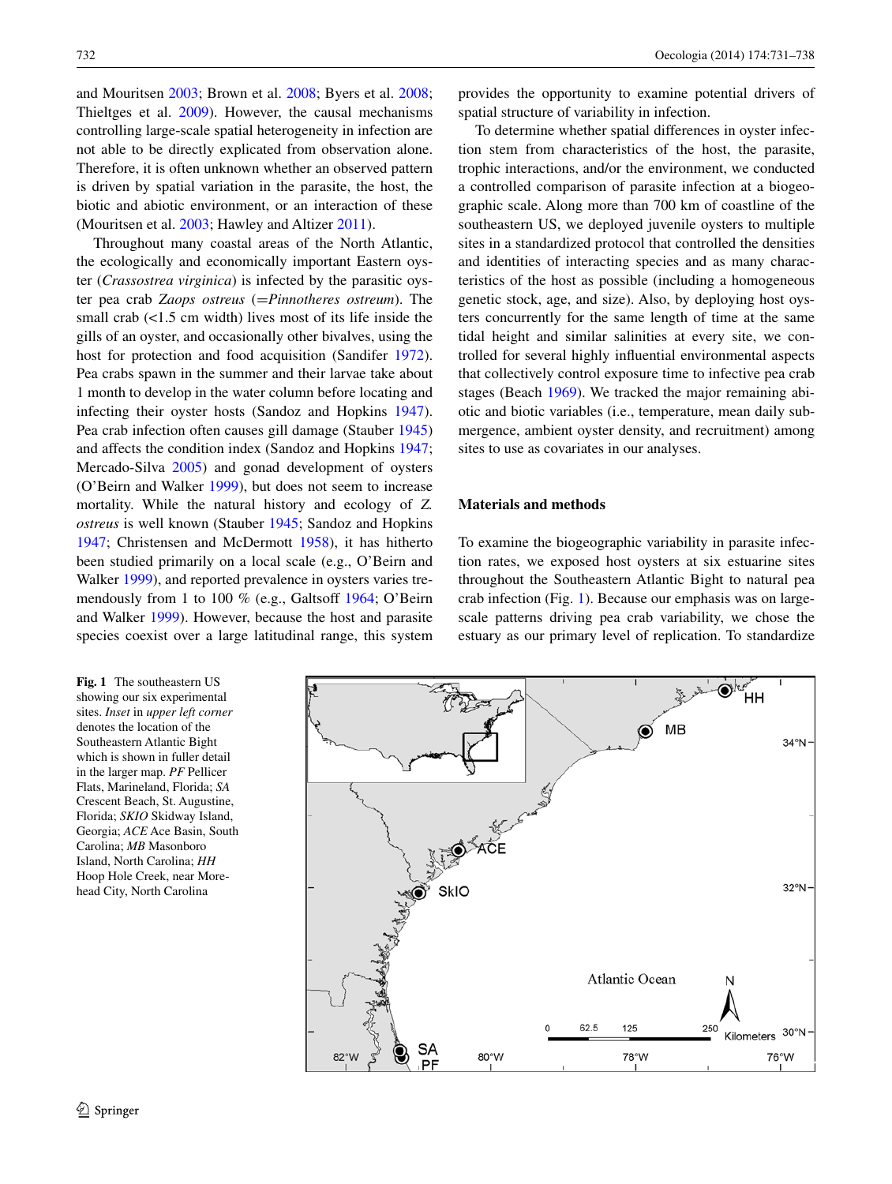and Mouritsen [2003;](#page-7-7) Brown et al. [2008](#page-6-7); Byers et al. [2008](#page-6-1); Thieltges et al. [2009](#page-7-8)). However, the causal mechanisms controlling large-scale spatial heterogeneity in infection are not able to be directly explicated from observation alone. Therefore, it is often unknown whether an observed pattern is driven by spatial variation in the parasite, the host, the biotic and abiotic environment, or an interaction of these (Mouritsen et al. [2003;](#page-6-8) Hawley and Altizer [2011](#page-6-9)).

Throughout many coastal areas of the North Atlantic, the ecologically and economically important Eastern oyster (*Crassostrea virginica*) is infected by the parasitic oyster pea crab *Zaops ostreus* (=*Pinnotheres ostreum*). The small crab (<1.5 cm width) lives most of its life inside the gills of an oyster, and occasionally other bivalves, using the host for protection and food acquisition (Sandifer [1972](#page-7-9)). Pea crabs spawn in the summer and their larvae take about 1 month to develop in the water column before locating and infecting their oyster hosts (Sandoz and Hopkins [1947](#page-7-10)). Pea crab infection often causes gill damage (Stauber [1945\)](#page-7-11) and affects the condition index (Sandoz and Hopkins [1947](#page-7-10); Mercado-Silva [2005](#page-6-10)) and gonad development of oysters (O'Beirn and Walker [1999](#page-7-12)), but does not seem to increase mortality. While the natural history and ecology of *Z. ostreus* is well known (Stauber [1945](#page-7-11); Sandoz and Hopkins [1947](#page-7-10); Christensen and McDermott [1958\)](#page-6-11), it has hitherto been studied primarily on a local scale (e.g., O'Beirn and Walker [1999](#page-7-12)), and reported prevalence in oysters varies tremendously from 1 to 100 % (e.g., Galtsoff [1964](#page-6-12); O'Beirn and Walker [1999](#page-7-12)). However, because the host and parasite species coexist over a large latitudinal range, this system

732 Oecologia (2014) 174:731–738

provides the opportunity to examine potential drivers of spatial structure of variability in infection.

To determine whether spatial differences in oyster infection stem from characteristics of the host, the parasite, trophic interactions, and/or the environment, we conducted a controlled comparison of parasite infection at a biogeographic scale. Along more than 700 km of coastline of the southeastern US, we deployed juvenile oysters to multiple sites in a standardized protocol that controlled the densities and identities of interacting species and as many characteristics of the host as possible (including a homogeneous genetic stock, age, and size). Also, by deploying host oysters concurrently for the same length of time at the same tidal height and similar salinities at every site, we controlled for several highly influential environmental aspects that collectively control exposure time to infective pea crab stages (Beach [1969](#page-6-13)). We tracked the major remaining abiotic and biotic variables (i.e., temperature, mean daily submergence, ambient oyster density, and recruitment) among sites to use as covariates in our analyses.

# **Materials and methods**

To examine the biogeographic variability in parasite infection rates, we exposed host oysters at six estuarine sites throughout the Southeastern Atlantic Bight to natural pea crab infection (Fig. [1\)](#page-1-0). Because our emphasis was on largescale patterns driving pea crab variability, we chose the estuary as our primary level of replication. To standardize

<span id="page-1-0"></span>**Fig. 1** The southeastern US showing our six experimental sites. *Inset* in *upper left corner* denotes the location of the Southeastern Atlantic Bight which is shown in fuller detail in the larger map. *PF* Pellicer Flats, Marineland, Florida; *SA* Crescent Beach, St. Augustine, Florida; *SKIO* Skidway Island, Georgia; *ACE* Ace Basin, South Carolina; *MB* Masonboro Island, North Carolina; *HH* Hoop Hole Creek, near Morehead City, North Carolina

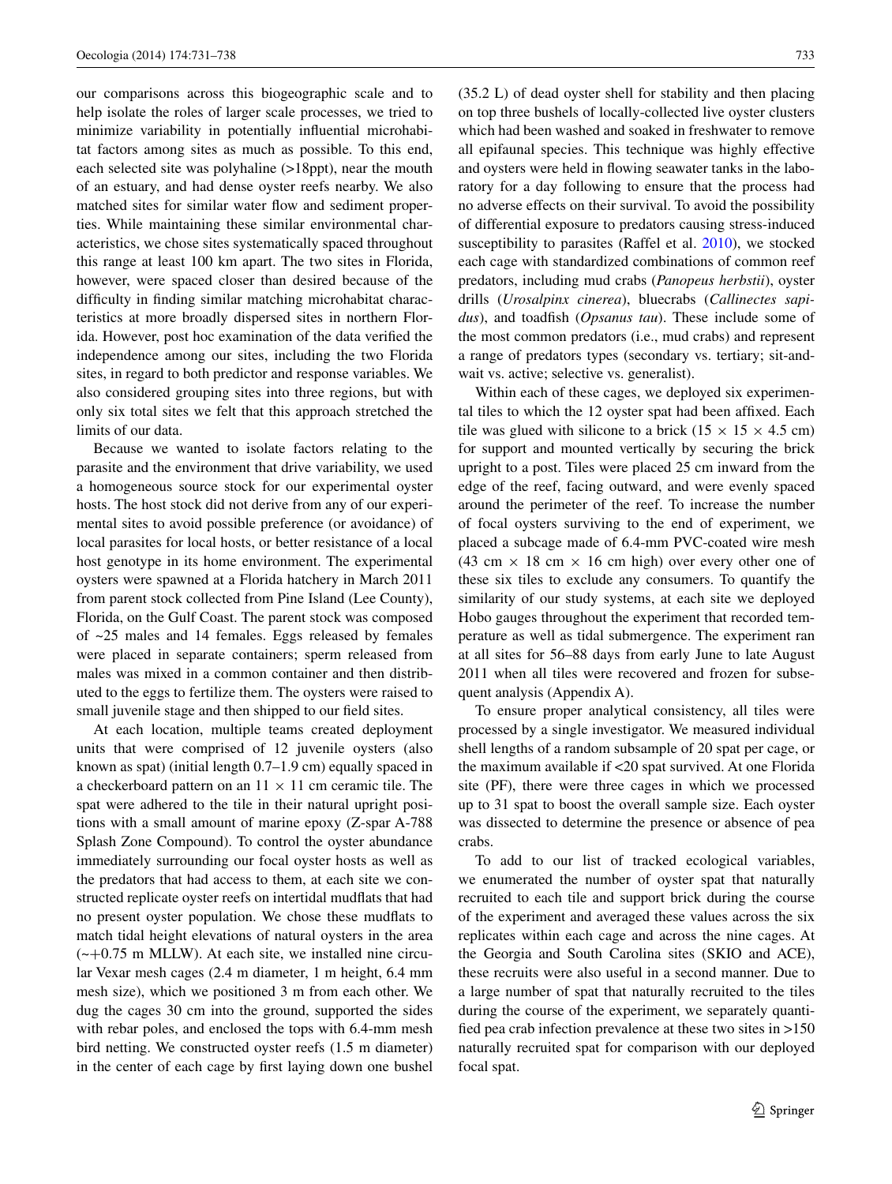our comparisons across this biogeographic scale and to help isolate the roles of larger scale processes, we tried to minimize variability in potentially influential microhabitat factors among sites as much as possible. To this end, each selected site was polyhaline (>18ppt), near the mouth of an estuary, and had dense oyster reefs nearby. We also matched sites for similar water flow and sediment properties. While maintaining these similar environmental characteristics, we chose sites systematically spaced throughout this range at least 100 km apart. The two sites in Florida, however, were spaced closer than desired because of the difficulty in finding similar matching microhabitat characteristics at more broadly dispersed sites in northern Florida. However, post hoc examination of the data verified the independence among our sites, including the two Florida sites, in regard to both predictor and response variables. We also considered grouping sites into three regions, but with only six total sites we felt that this approach stretched the limits of our data.

Because we wanted to isolate factors relating to the parasite and the environment that drive variability, we used a homogeneous source stock for our experimental oyster hosts. The host stock did not derive from any of our experimental sites to avoid possible preference (or avoidance) of local parasites for local hosts, or better resistance of a local host genotype in its home environment. The experimental oysters were spawned at a Florida hatchery in March 2011 from parent stock collected from Pine Island (Lee County), Florida, on the Gulf Coast. The parent stock was composed of ~25 males and 14 females. Eggs released by females were placed in separate containers; sperm released from males was mixed in a common container and then distributed to the eggs to fertilize them. The oysters were raised to small juvenile stage and then shipped to our field sites.

At each location, multiple teams created deployment units that were comprised of 12 juvenile oysters (also known as spat) (initial length 0.7–1.9 cm) equally spaced in a checkerboard pattern on an  $11 \times 11$  cm ceramic tile. The spat were adhered to the tile in their natural upright positions with a small amount of marine epoxy (Z-spar A-788 Splash Zone Compound). To control the oyster abundance immediately surrounding our focal oyster hosts as well as the predators that had access to them, at each site we constructed replicate oyster reefs on intertidal mudflats that had no present oyster population. We chose these mudflats to match tidal height elevations of natural oysters in the area  $(-+0.75 \text{ m}$  MLLW). At each site, we installed nine circular Vexar mesh cages (2.4 m diameter, 1 m height, 6.4 mm mesh size), which we positioned 3 m from each other. We dug the cages 30 cm into the ground, supported the sides with rebar poles, and enclosed the tops with 6.4-mm mesh bird netting. We constructed oyster reefs (1.5 m diameter) in the center of each cage by first laying down one bushel (35.2 L) of dead oyster shell for stability and then placing on top three bushels of locally-collected live oyster clusters which had been washed and soaked in freshwater to remove all epifaunal species. This technique was highly effective and oysters were held in flowing seawater tanks in the laboratory for a day following to ensure that the process had no adverse effects on their survival. To avoid the possibility of differential exposure to predators causing stress-induced susceptibility to parasites (Raffel et al. [2010](#page-7-13)), we stocked each cage with standardized combinations of common reef predators, including mud crabs (*Panopeus herbstii*), oyster drills (*Urosalpinx cinerea*), bluecrabs (*Callinectes sapidus*), and toadfish (*Opsanus tau*). These include some of the most common predators (i.e., mud crabs) and represent a range of predators types (secondary vs. tertiary; sit-andwait vs. active; selective vs. generalist).

Within each of these cages, we deployed six experimental tiles to which the 12 oyster spat had been affixed. Each tile was glued with silicone to a brick ( $15 \times 15 \times 4.5$  cm) for support and mounted vertically by securing the brick upright to a post. Tiles were placed 25 cm inward from the edge of the reef, facing outward, and were evenly spaced around the perimeter of the reef. To increase the number of focal oysters surviving to the end of experiment, we placed a subcage made of 6.4-mm PVC-coated wire mesh (43 cm  $\times$  18 cm  $\times$  16 cm high) over every other one of these six tiles to exclude any consumers. To quantify the similarity of our study systems, at each site we deployed Hobo gauges throughout the experiment that recorded temperature as well as tidal submergence. The experiment ran at all sites for 56–88 days from early June to late August 2011 when all tiles were recovered and frozen for subsequent analysis (Appendix A).

To ensure proper analytical consistency, all tiles were processed by a single investigator. We measured individual shell lengths of a random subsample of 20 spat per cage, or the maximum available if <20 spat survived. At one Florida site (PF), there were three cages in which we processed up to 31 spat to boost the overall sample size. Each oyster was dissected to determine the presence or absence of pea crabs.

To add to our list of tracked ecological variables, we enumerated the number of oyster spat that naturally recruited to each tile and support brick during the course of the experiment and averaged these values across the six replicates within each cage and across the nine cages. At the Georgia and South Carolina sites (SKIO and ACE), these recruits were also useful in a second manner. Due to a large number of spat that naturally recruited to the tiles during the course of the experiment, we separately quantified pea crab infection prevalence at these two sites in >150 naturally recruited spat for comparison with our deployed focal spat.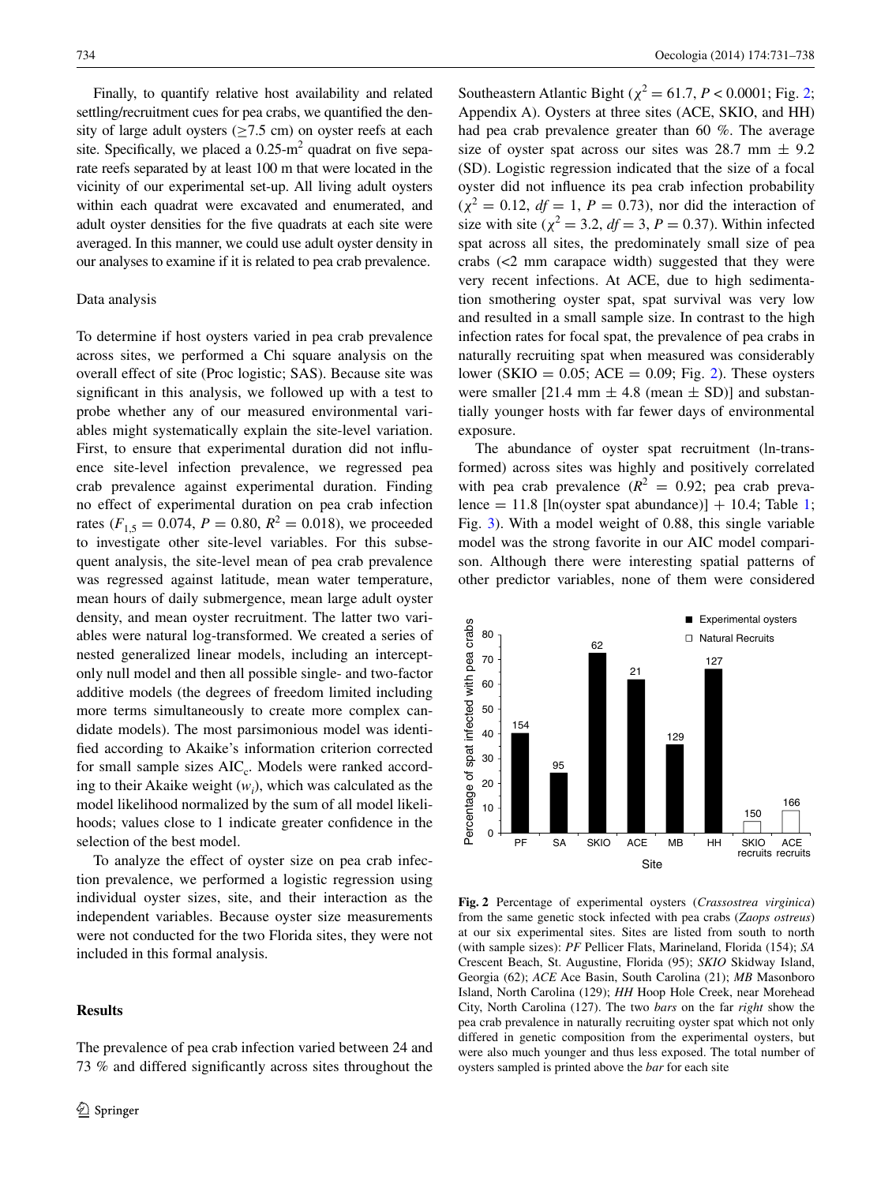Finally, to quantify relative host availability and related settling/recruitment cues for pea crabs, we quantified the density of large adult oysters ( $\geq$ 7.5 cm) on oyster reefs at each site. Specifically, we placed a  $0.25$ -m<sup>2</sup> quadrat on five separate reefs separated by at least 100 m that were located in the vicinity of our experimental set-up. All living adult oysters within each quadrat were excavated and enumerated, and adult oyster densities for the five quadrats at each site were averaged. In this manner, we could use adult oyster density in our analyses to examine if it is related to pea crab prevalence.

# Data analysis

To determine if host oysters varied in pea crab prevalence across sites, we performed a Chi square analysis on the overall effect of site (Proc logistic; SAS). Because site was significant in this analysis, we followed up with a test to probe whether any of our measured environmental variables might systematically explain the site-level variation. First, to ensure that experimental duration did not influence site-level infection prevalence, we regressed pea crab prevalence against experimental duration. Finding no effect of experimental duration on pea crab infection rates ( $F_{1,5} = 0.074$ ,  $P = 0.80$ ,  $R^2 = 0.018$ ), we proceeded to investigate other site-level variables. For this subsequent analysis, the site-level mean of pea crab prevalence was regressed against latitude, mean water temperature, mean hours of daily submergence, mean large adult oyster density, and mean oyster recruitment. The latter two variables were natural log-transformed. We created a series of nested generalized linear models, including an interceptonly null model and then all possible single- and two-factor additive models (the degrees of freedom limited including more terms simultaneously to create more complex candidate models). The most parsimonious model was identified according to Akaike's information criterion corrected for small sample sizes AIC<sub>c</sub>. Models were ranked according to their Akaike weight  $(w_i)$ , which was calculated as the model likelihood normalized by the sum of all model likelihoods; values close to 1 indicate greater confidence in the selection of the best model.

To analyze the effect of oyster size on pea crab infection prevalence, we performed a logistic regression using individual oyster sizes, site, and their interaction as the independent variables. Because oyster size measurements were not conducted for the two Florida sites, they were not included in this formal analysis.

The prevalence of pea crab infection varied between 24 and

## **Results**

Southeastern Atlantic Bight ( $\chi^2$  $\chi^2$  = 61.7, *P* < 0.0001; Fig. 2; Appendix A). Oysters at three sites (ACE, SKIO, and HH) had pea crab prevalence greater than 60 %. The average size of oyster spat across our sites was 28.7 mm  $\pm$  9.2 (SD). Logistic regression indicated that the size of a focal oyster did not influence its pea crab infection probability  $(\chi^2 = 0.12, df = 1, P = 0.73)$ , nor did the interaction of size with site ( $\chi^2 = 3.2$ ,  $df = 3$ ,  $P = 0.37$ ). Within infected spat across all sites, the predominately small size of pea crabs (<2 mm carapace width) suggested that they were very recent infections. At ACE, due to high sedimentation smothering oyster spat, spat survival was very low and resulted in a small sample size. In contrast to the high infection rates for focal spat, the prevalence of pea crabs in naturally recruiting spat when measured was considerably lower (SKIO =  $0.05$ ; ACE =  $0.09$ ; Fig. [2](#page-3-0)). These oysters were smaller [21.4 mm  $\pm$  4.8 (mean  $\pm$  SD)] and substantially younger hosts with far fewer days of environmental exposure.

The abundance of oyster spat recruitment (ln-transformed) across sites was highly and positively correlated with pea crab prevalence  $(R^2 = 0.92)$ ; pea crab preva-lence = [1](#page-4-0)1.8 [ln(oyster spat abundance)] + 10.4; Table 1; Fig. [3\)](#page-4-1). With a model weight of 0.88, this single variable model was the strong favorite in our AIC model comparison. Although there were interesting spatial patterns of other predictor variables, none of them were considered



<span id="page-3-0"></span>**Fig. 2** Percentage of experimental oysters (*Crassostrea virginica*) from the same genetic stock infected with pea crabs (*Zaops ostreus*) at our six experimental sites. Sites are listed from south to north (with sample sizes): *PF* Pellicer Flats, Marineland, Florida (154); *SA* Crescent Beach, St. Augustine, Florida (95); *SKIO* Skidway Island, Georgia (62); *ACE* Ace Basin, South Carolina (21); *MB* Masonboro Island, North Carolina (129); *HH* Hoop Hole Creek, near Morehead City, North Carolina (127). The two *bars* on the far *right* show the pea crab prevalence in naturally recruiting oyster spat which not only differed in genetic composition from the experimental oysters, but were also much younger and thus less exposed. The total number of oysters sampled is printed above the *bar* for each site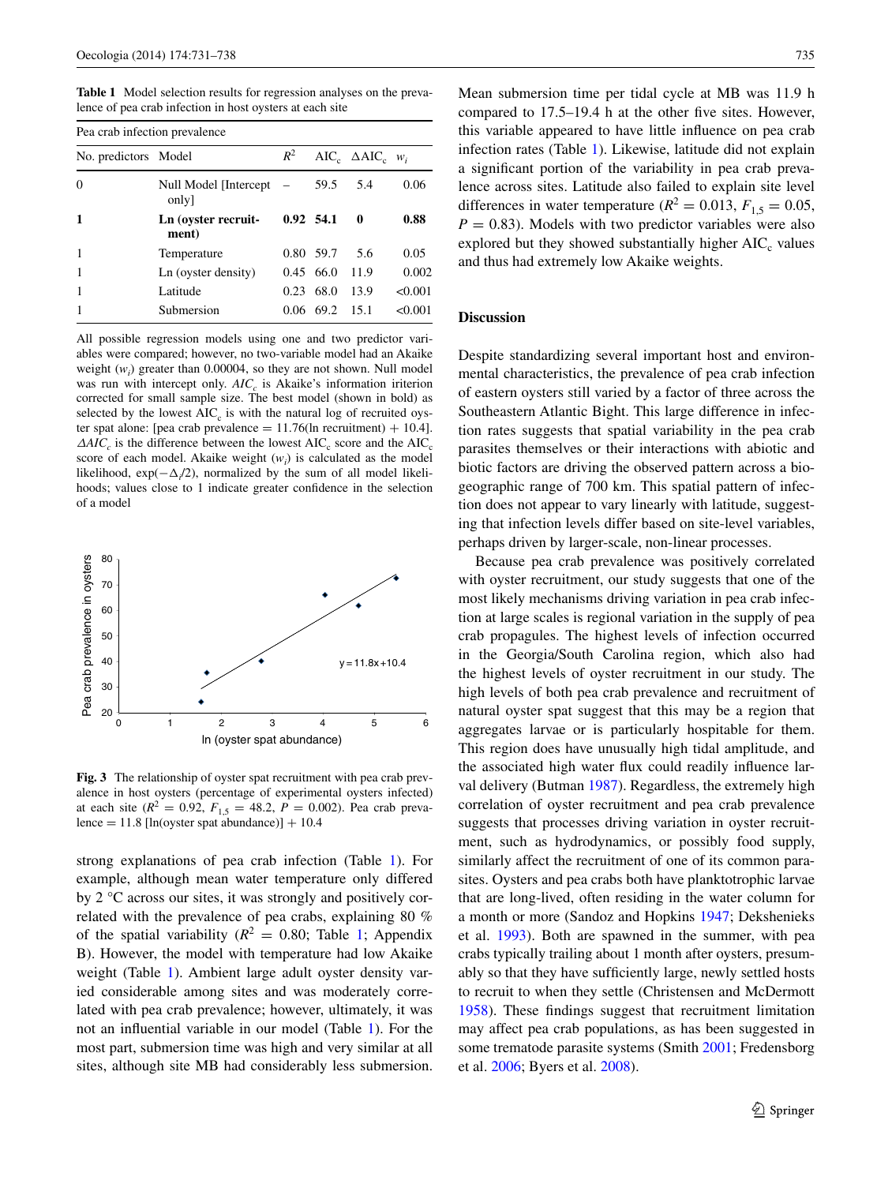<span id="page-4-0"></span>**Table 1** Model selection results for regression analyses on the prevalence of pea crab infection in host oysters at each site

| Pea crab infection prevalence |                                 |       |             |                                      |         |
|-------------------------------|---------------------------------|-------|-------------|--------------------------------------|---------|
| No. predictors Model          |                                 | $R^2$ |             | $AIC_c \quad \Delta AIC_c \quad w_i$ |         |
| $\Omega$                      | Null Model [Intercept]<br>only] |       | 59.5        | 5.4                                  | 0.06    |
| 1                             | Ln (oyster recruit-<br>ment)    |       | $0.92$ 54.1 | - 0                                  | 0.88    |
| 1                             | Temperature                     |       | 0.80 59.7   | 5.6                                  | 0.05    |
| 1                             | Ln (oyster density)             |       | 0.45, 66.0  | 11.9                                 | 0.002   |
|                               | Latitude                        |       | $0.23$ 68.0 | 13.9                                 | < 0.001 |
|                               | Submersion                      | 0.06  | 69.2        | 15.1                                 | < 0.001 |

All possible regression models using one and two predictor variables were compared; however, no two-variable model had an Akaike weight  $(w_i)$  greater than 0.00004, so they are not shown. Null model was run with intercept only.  $AIC_c$  is Akaike's information iriterion corrected for small sample size. The best model (shown in bold) as selected by the lowest  $AIC<sub>c</sub>$  is with the natural log of recruited oyster spat alone: [pea crab prevalence  $= 11.76$ (ln recruitment)  $+ 10.4$ ].  $\triangle AIC_c$  is the difference between the lowest AIC<sub>c</sub> score and the AIC<sub>c</sub> score of each model. Akaike weight  $(w_i)$  is calculated as the model likelihood,  $exp(-\Delta/2)$ , normalized by the sum of all model likelihoods; values close to 1 indicate greater confidence in the selection of a model



<span id="page-4-1"></span>**Fig. 3** The relationship of oyster spat recruitment with pea crab prevalence in host oysters (percentage of experimental oysters infected) at each site ( $R^2 = 0.92$ ,  $F_{1.5} = 48.2$ ,  $P = 0.002$ ). Pea crab prevalence =  $11.8$  [ln(oyster spat abundance)] +  $10.4$ 

strong explanations of pea crab infection (Table [1\)](#page-4-0). For example, although mean water temperature only differed by 2 °C across our sites, it was strongly and positively correlated with the prevalence of pea crabs, explaining 80 % of the spatial variability ( $R^2 = 0.80$ ; Table [1;](#page-4-0) Appendix B). However, the model with temperature had low Akaike weight (Table [1](#page-4-0)). Ambient large adult oyster density varied considerable among sites and was moderately correlated with pea crab prevalence; however, ultimately, it was not an influential variable in our model (Table [1](#page-4-0)). For the most part, submersion time was high and very similar at all sites, although site MB had considerably less submersion. Mean submersion time per tidal cycle at MB was 11.9 h compared to 17.5–19.4 h at the other five sites. However, this variable appeared to have little influence on pea crab infection rates (Table [1\)](#page-4-0). Likewise, latitude did not explain a significant portion of the variability in pea crab prevalence across sites. Latitude also failed to explain site level differences in water temperature ( $R^2 = 0.013$ ,  $F_{1.5} = 0.05$ ,  $P = 0.83$ ). Models with two predictor variables were also explored but they showed substantially higher  $AIC_c$  values and thus had extremely low Akaike weights.

#### **Discussion**

Despite standardizing several important host and environmental characteristics, the prevalence of pea crab infection of eastern oysters still varied by a factor of three across the Southeastern Atlantic Bight. This large difference in infection rates suggests that spatial variability in the pea crab parasites themselves or their interactions with abiotic and biotic factors are driving the observed pattern across a biogeographic range of 700 km. This spatial pattern of infection does not appear to vary linearly with latitude, suggesting that infection levels differ based on site-level variables, perhaps driven by larger-scale, non-linear processes.

Because pea crab prevalence was positively correlated with oyster recruitment, our study suggests that one of the most likely mechanisms driving variation in pea crab infection at large scales is regional variation in the supply of pea crab propagules. The highest levels of infection occurred in the Georgia/South Carolina region, which also had the highest levels of oyster recruitment in our study. The high levels of both pea crab prevalence and recruitment of natural oyster spat suggest that this may be a region that aggregates larvae or is particularly hospitable for them. This region does have unusually high tidal amplitude, and the associated high water flux could readily influence larval delivery (Butman [1987\)](#page-6-14). Regardless, the extremely high correlation of oyster recruitment and pea crab prevalence suggests that processes driving variation in oyster recruitment, such as hydrodynamics, or possibly food supply, similarly affect the recruitment of one of its common parasites. Oysters and pea crabs both have planktotrophic larvae that are long-lived, often residing in the water column for a month or more (Sandoz and Hopkins [1947](#page-7-10); Dekshenieks et al. [1993\)](#page-6-15). Both are spawned in the summer, with pea crabs typically trailing about 1 month after oysters, presumably so that they have sufficiently large, newly settled hosts to recruit to when they settle (Christensen and McDermott [1958](#page-6-11)). These findings suggest that recruitment limitation may affect pea crab populations, as has been suggested in some trematode parasite systems (Smith [2001](#page-7-14); Fredensborg et al. [2006](#page-6-0); Byers et al. [2008](#page-6-1)).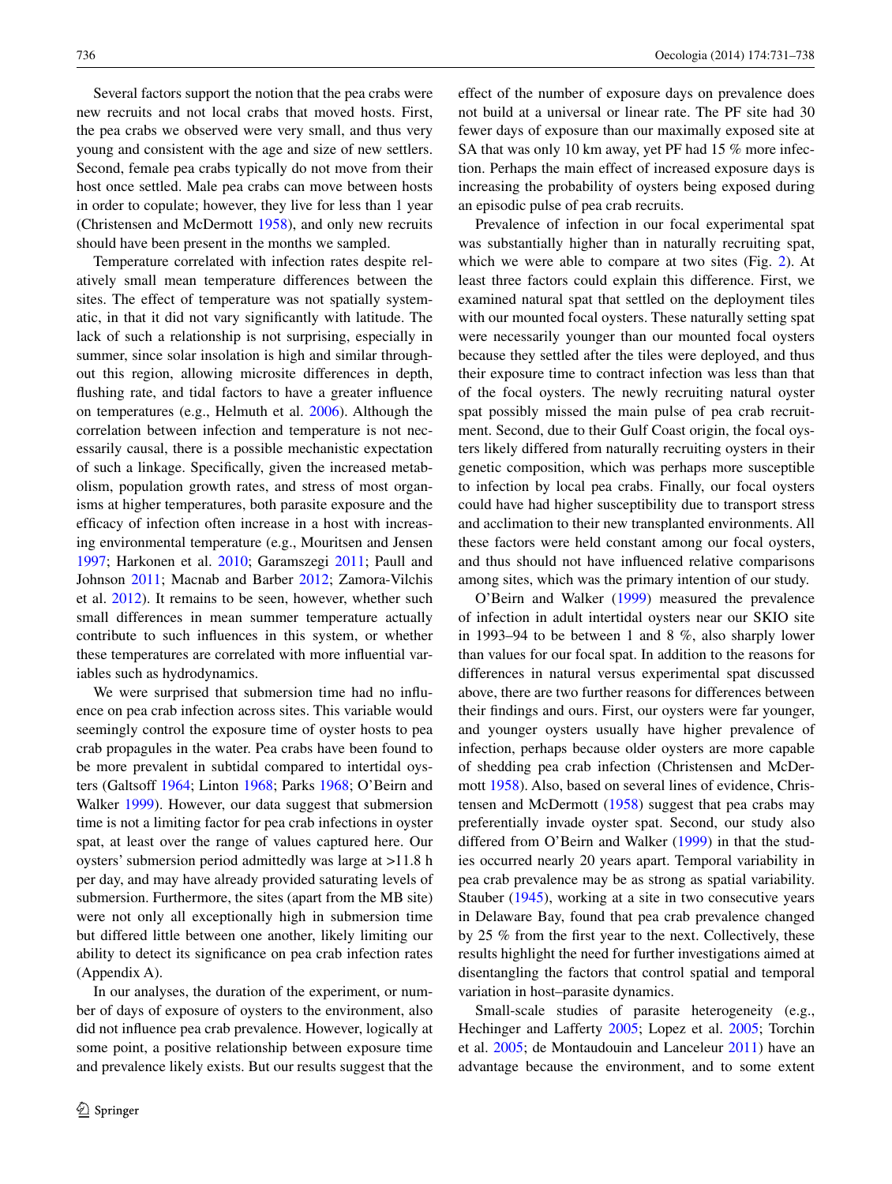Several factors support the notion that the pea crabs were new recruits and not local crabs that moved hosts. First, the pea crabs we observed were very small, and thus very young and consistent with the age and size of new settlers. Second, female pea crabs typically do not move from their host once settled. Male pea crabs can move between hosts in order to copulate; however, they live for less than 1 year (Christensen and McDermott [1958](#page-6-11)), and only new recruits should have been present in the months we sampled.

Temperature correlated with infection rates despite relatively small mean temperature differences between the sites. The effect of temperature was not spatially systematic, in that it did not vary significantly with latitude. The lack of such a relationship is not surprising, especially in summer, since solar insolation is high and similar throughout this region, allowing microsite differences in depth, flushing rate, and tidal factors to have a greater influence on temperatures (e.g., Helmuth et al. [2006\)](#page-6-16). Although the correlation between infection and temperature is not necessarily causal, there is a possible mechanistic expectation of such a linkage. Specifically, given the increased metabolism, population growth rates, and stress of most organisms at higher temperatures, both parasite exposure and the efficacy of infection often increase in a host with increasing environmental temperature (e.g., Mouritsen and Jensen [1997](#page-6-17); Harkonen et al. [2010;](#page-6-18) Garamszegi [2011;](#page-6-19) Paull and Johnson [2011;](#page-7-15) Macnab and Barber [2012;](#page-6-20) Zamora-Vilchis et al. [2012\)](#page-7-16). It remains to be seen, however, whether such small differences in mean summer temperature actually contribute to such influences in this system, or whether these temperatures are correlated with more influential variables such as hydrodynamics.

We were surprised that submersion time had no influence on pea crab infection across sites. This variable would seemingly control the exposure time of oyster hosts to pea crab propagules in the water. Pea crabs have been found to be more prevalent in subtidal compared to intertidal oysters (Galtsoff [1964](#page-6-12); Linton [1968;](#page-6-21) Parks [1968](#page-7-17); O'Beirn and Walker [1999](#page-7-12)). However, our data suggest that submersion time is not a limiting factor for pea crab infections in oyster spat, at least over the range of values captured here. Our oysters' submersion period admittedly was large at >11.8 h per day, and may have already provided saturating levels of submersion. Furthermore, the sites (apart from the MB site) were not only all exceptionally high in submersion time but differed little between one another, likely limiting our ability to detect its significance on pea crab infection rates (Appendix A).

In our analyses, the duration of the experiment, or number of days of exposure of oysters to the environment, also did not influence pea crab prevalence. However, logically at some point, a positive relationship between exposure time and prevalence likely exists. But our results suggest that the effect of the number of exposure days on prevalence does not build at a universal or linear rate. The PF site had 30 fewer days of exposure than our maximally exposed site at SA that was only 10 km away, yet PF had 15 % more infection. Perhaps the main effect of increased exposure days is increasing the probability of oysters being exposed during an episodic pulse of pea crab recruits.

Prevalence of infection in our focal experimental spat was substantially higher than in naturally recruiting spat, which we were able to compare at two sites (Fig. [2\)](#page-3-0). At least three factors could explain this difference. First, we examined natural spat that settled on the deployment tiles with our mounted focal oysters. These naturally setting spat were necessarily younger than our mounted focal oysters because they settled after the tiles were deployed, and thus their exposure time to contract infection was less than that of the focal oysters. The newly recruiting natural oyster spat possibly missed the main pulse of pea crab recruitment. Second, due to their Gulf Coast origin, the focal oysters likely differed from naturally recruiting oysters in their genetic composition, which was perhaps more susceptible to infection by local pea crabs. Finally, our focal oysters could have had higher susceptibility due to transport stress and acclimation to their new transplanted environments. All these factors were held constant among our focal oysters, and thus should not have influenced relative comparisons among sites, which was the primary intention of our study.

O'Beirn and Walker ([1999\)](#page-7-12) measured the prevalence of infection in adult intertidal oysters near our SKIO site in 1993–94 to be between 1 and 8 %, also sharply lower than values for our focal spat. In addition to the reasons for differences in natural versus experimental spat discussed above, there are two further reasons for differences between their findings and ours. First, our oysters were far younger, and younger oysters usually have higher prevalence of infection, perhaps because older oysters are more capable of shedding pea crab infection (Christensen and McDermott [1958\)](#page-6-11). Also, based on several lines of evidence, Christensen and McDermott [\(1958](#page-6-11)) suggest that pea crabs may preferentially invade oyster spat. Second, our study also differed from O'Beirn and Walker ([1999\)](#page-7-12) in that the studies occurred nearly 20 years apart. Temporal variability in pea crab prevalence may be as strong as spatial variability. Stauber [\(1945](#page-7-11)), working at a site in two consecutive years in Delaware Bay, found that pea crab prevalence changed by 25 % from the first year to the next. Collectively, these results highlight the need for further investigations aimed at disentangling the factors that control spatial and temporal variation in host–parasite dynamics.

Small-scale studies of parasite heterogeneity (e.g., Hechinger and Lafferty [2005](#page-6-22); Lopez et al. [2005;](#page-6-23) Torchin et al. [2005;](#page-7-18) de Montaudouin and Lanceleur [2011](#page-6-24)) have an advantage because the environment, and to some extent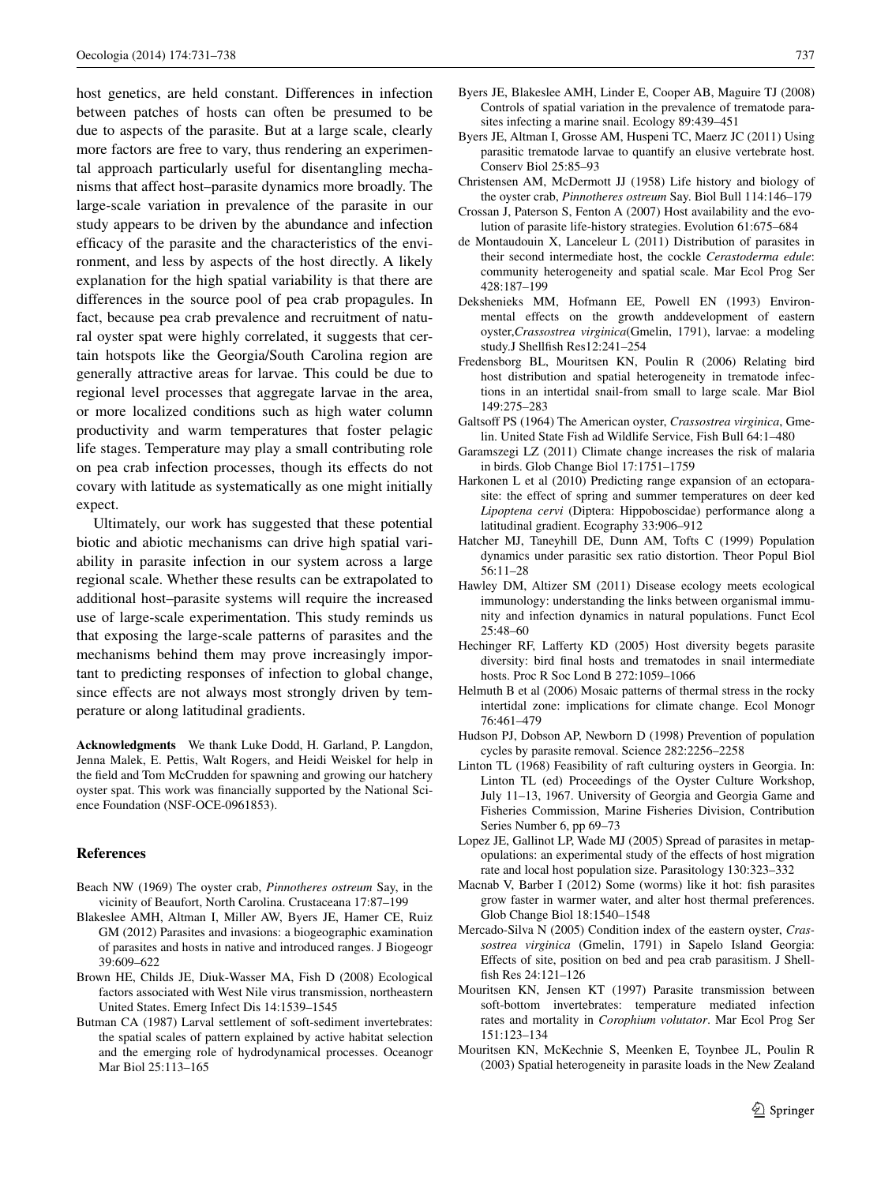host genetics, are held constant. Differences in infection between patches of hosts can often be presumed to be due to aspects of the parasite. But at a large scale, clearly more factors are free to vary, thus rendering an experimental approach particularly useful for disentangling mechanisms that affect host–parasite dynamics more broadly. The large-scale variation in prevalence of the parasite in our study appears to be driven by the abundance and infection efficacy of the parasite and the characteristics of the environment, and less by aspects of the host directly. A likely explanation for the high spatial variability is that there are differences in the source pool of pea crab propagules. In fact, because pea crab prevalence and recruitment of natural oyster spat were highly correlated, it suggests that certain hotspots like the Georgia/South Carolina region are generally attractive areas for larvae. This could be due to regional level processes that aggregate larvae in the area, or more localized conditions such as high water column productivity and warm temperatures that foster pelagic life stages. Temperature may play a small contributing role on pea crab infection processes, though its effects do not covary with latitude as systematically as one might initially expect.

Ultimately, our work has suggested that these potential biotic and abiotic mechanisms can drive high spatial variability in parasite infection in our system across a large regional scale. Whether these results can be extrapolated to additional host–parasite systems will require the increased use of large-scale experimentation. This study reminds us that exposing the large-scale patterns of parasites and the mechanisms behind them may prove increasingly important to predicting responses of infection to global change, since effects are not always most strongly driven by temperature or along latitudinal gradients.

**Acknowledgments** We thank Luke Dodd, H. Garland, P. Langdon, Jenna Malek, E. Pettis, Walt Rogers, and Heidi Weiskel for help in the field and Tom McCrudden for spawning and growing our hatchery oyster spat. This work was financially supported by the National Science Foundation (NSF-OCE-0961853).

#### **References**

- <span id="page-6-13"></span>Beach NW (1969) The oyster crab, *Pinnotheres ostreum* Say, in the vicinity of Beaufort, North Carolina. Crustaceana 17:87–199
- <span id="page-6-3"></span>Blakeslee AMH, Altman I, Miller AW, Byers JE, Hamer CE, Ruiz GM (2012) Parasites and invasions: a biogeographic examination of parasites and hosts in native and introduced ranges. J Biogeogr 39:609–622
- <span id="page-6-7"></span>Brown HE, Childs JE, Diuk-Wasser MA, Fish D (2008) Ecological factors associated with West Nile virus transmission, northeastern United States. Emerg Infect Dis 14:1539–1545
- <span id="page-6-14"></span>Butman CA (1987) Larval settlement of soft-sediment invertebrates: the spatial scales of pattern explained by active habitat selection and the emerging role of hydrodynamical processes. Oceanogr Mar Biol 25:113–165
- <span id="page-6-1"></span>Byers JE, Blakeslee AMH, Linder E, Cooper AB, Maguire TJ (2008) Controls of spatial variation in the prevalence of trematode parasites infecting a marine snail. Ecology 89:439–451
- <span id="page-6-2"></span>Byers JE, Altman I, Grosse AM, Huspeni TC, Maerz JC (2011) Using parasitic trematode larvae to quantify an elusive vertebrate host. Conserv Biol 25:85–93
- <span id="page-6-11"></span>Christensen AM, McDermott JJ (1958) Life history and biology of the oyster crab, *Pinnotheres ostreum* Say. Biol Bull 114:146–179
- <span id="page-6-4"></span>Crossan J, Paterson S, Fenton A (2007) Host availability and the evolution of parasite life-history strategies. Evolution 61:675–684
- <span id="page-6-24"></span>de Montaudouin X, Lanceleur L (2011) Distribution of parasites in their second intermediate host, the cockle *Cerastoderma edule*: community heterogeneity and spatial scale. Mar Ecol Prog Ser 428:187–199
- <span id="page-6-15"></span>Dekshenieks MM, Hofmann EE, Powell EN (1993) Environmental effects on the growth anddevelopment of eastern oyster,*Crassostrea virginica*(Gmelin, 1791), larvae: a modeling study.J Shellfish Res12:241–254
- <span id="page-6-0"></span>Fredensborg BL, Mouritsen KN, Poulin R (2006) Relating bird host distribution and spatial heterogeneity in trematode infections in an intertidal snail-from small to large scale. Mar Biol 149:275–283
- <span id="page-6-12"></span>Galtsoff PS (1964) The American oyster, *Crassostrea virginica*, Gmelin. United State Fish ad Wildlife Service, Fish Bull 64:1–480
- <span id="page-6-19"></span>Garamszegi LZ (2011) Climate change increases the risk of malaria in birds. Glob Change Biol 17:1751–1759
- <span id="page-6-18"></span>Harkonen L et al (2010) Predicting range expansion of an ectoparasite: the effect of spring and summer temperatures on deer ked *Lipoptena cervi* (Diptera: Hippoboscidae) performance along a latitudinal gradient. Ecography 33:906–912
- <span id="page-6-6"></span>Hatcher MJ, Taneyhill DE, Dunn AM, Tofts C (1999) Population dynamics under parasitic sex ratio distortion. Theor Popul Biol 56:11–28
- <span id="page-6-9"></span>Hawley DM, Altizer SM (2011) Disease ecology meets ecological immunology: understanding the links between organismal immunity and infection dynamics in natural populations. Funct Ecol 25:48–60
- <span id="page-6-22"></span>Hechinger RF, Lafferty KD (2005) Host diversity begets parasite diversity: bird final hosts and trematodes in snail intermediate hosts. Proc R Soc Lond B 272:1059–1066
- <span id="page-6-16"></span>Helmuth B et al (2006) Mosaic patterns of thermal stress in the rocky intertidal zone: implications for climate change. Ecol Monogr 76:461–479
- <span id="page-6-5"></span>Hudson PJ, Dobson AP, Newborn D (1998) Prevention of population cycles by parasite removal. Science 282:2256–2258
- <span id="page-6-21"></span>Linton TL (1968) Feasibility of raft culturing oysters in Georgia. In: Linton TL (ed) Proceedings of the Oyster Culture Workshop, July 11–13, 1967. University of Georgia and Georgia Game and Fisheries Commission, Marine Fisheries Division, Contribution Series Number 6, pp 69–73
- <span id="page-6-23"></span>Lopez JE, Gallinot LP, Wade MJ (2005) Spread of parasites in metapopulations: an experimental study of the effects of host migration rate and local host population size. Parasitology 130:323–332
- <span id="page-6-20"></span>Macnab V, Barber I (2012) Some (worms) like it hot: fish parasites grow faster in warmer water, and alter host thermal preferences. Glob Change Biol 18:1540–1548
- <span id="page-6-10"></span>Mercado-Silva N (2005) Condition index of the eastern oyster, *Crassostrea virginica* (Gmelin, 1791) in Sapelo Island Georgia: Effects of site, position on bed and pea crab parasitism. J Shellfish Res 24:121–126
- <span id="page-6-17"></span>Mouritsen KN, Jensen KT (1997) Parasite transmission between soft-bottom invertebrates: temperature mediated infection rates and mortality in *Corophium volutator*. Mar Ecol Prog Ser 151:123–134
- <span id="page-6-8"></span>Mouritsen KN, McKechnie S, Meenken E, Toynbee JL, Poulin R (2003) Spatial heterogeneity in parasite loads in the New Zealand